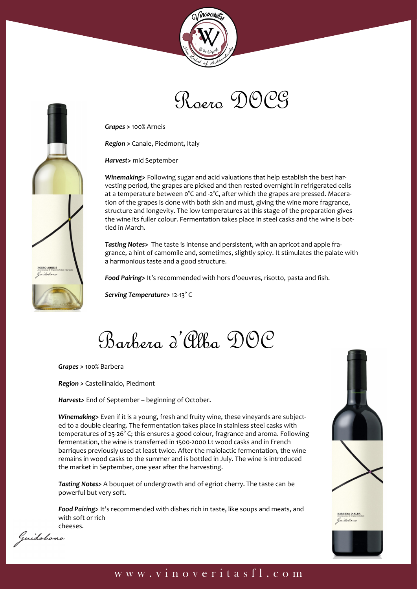



*Grapes >* 100% Arneis

*Region >* Canale, Piedmont, Italy

*Harvest>* mid September

*Winemaking>* Following sugar and acid valuations that help establish the best harvesting period, the grapes are picked and then rested overnight in refrigerated cells at a temperature between 0°C and -2°C, after which the grapes are pressed. Maceration of the grapes is done with both skin and must, giving the wine more fragrance, structure and longevity. The low temperatures at this stage of the preparation gives the wine its fuller colour. Fermentation takes place in steel casks and the wine is bottled in March.

*Tasting Notes>* The taste is intense and persistent, with an apricot and apple fragrance, a hint of camomile and, sometimes, slightly spicy. It stimulates the palate with a harmonious taste and a good structure.

*Food Pairing>* It's recommended with hors d'oeuvres, risotto, pasta and fish.

*Serving Temperature>* 12-13° C

Barbera d'Alba DOC

*Grapes >* 100% Barbera

*Region >* Castellinaldo, Piedmont

*Harvest>* End of September – beginning of October.

*Winemaking>* Even if it is a young, fresh and fruity wine, these vineyards are subjected to a double clearing. The fermentation takes place in stainless steel casks with temperatures of 25-26° C; this ensures a good colour, fragrance and aroma. Following fermentation, the wine is transferred in 1500-2000 Lt wood casks and in French barriques previously used at least twice. After the malolactic fermentation, the wine remains in wood casks to the summer and is bottled in July. The wine is introduced the market in September, one year after the harvesting.

*Tasting Notes>* A bouquet of undergrowth and of egriot cherry. The taste can be powerful but very soft.

*Food Pairing>* It's recommended with dishes rich in taste, like soups and meats, and with soft or rich



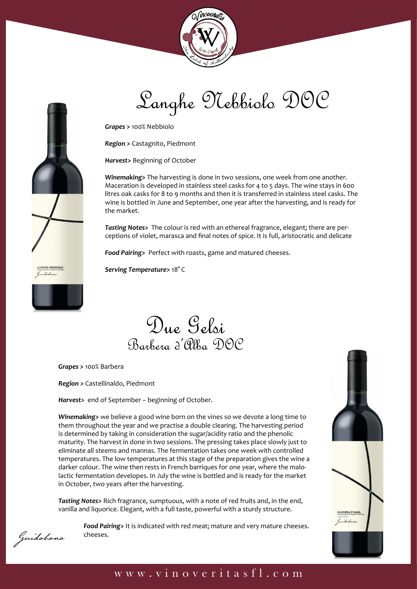



Langhe Nebbiolo DOC

*Grapes >* 100% Nebbiolo

*Region >* Castagnito, Piedmont

*Harvest>* Beginning of October

*Winemaking>* The harvesting is done in two sessions, one week from one another. Maceration is developed in stainless steel casks for 4 to 5 days. The wine stays in 600 litres oak casks for 8 to 9 months and then it is transferred in stainless steel casks. The wine is bottled in June and September, one year after the harvesting, and is ready for the market.

*Tasting Notes>* The colour is red with an ethereal fragrance, elegant; there are perceptions of violet, marasca and final notes of spice. It is full, aristocratic and delicate

*Food Pairing>* Perfect with roasts, game and matured cheeses.

*Serving Temperature>* 18° C

## Due Gelsi Barbera d'Alba DOC

*Grapes >* 100% Barbera

*Region >* Castellinaldo, Piedmont

*Harvest>* end of September – beginning of October.

*Winemaking>* we believe a good wine born on the vines so we devote a long time to them throughout the year and we practise a double clearing. The harvesting period is determined by taking in consideration the sugar/acidity ratio and the phenolic maturity. The harvest in done in two sessions. The pressing takes place slowly just to eliminate all steems and mannas. The fermentation takes one week with controlled temperatures. The low temperatures at this stage of the preparation gives the wine a darker colour. The wine then rests in French barriques for one year, where the malolactic fermentation developes. In July the wine is bottled and is ready for the market in October, two years after the harvesting.

*Tasting Notes>* Rich fragrance, sumptuous, with a note of red fruits and, in the end, vanilla and liquorice. Elegant, with a full taste, powerful with a sturdy structure.





### Guidobono

www.vinoveritasfl.com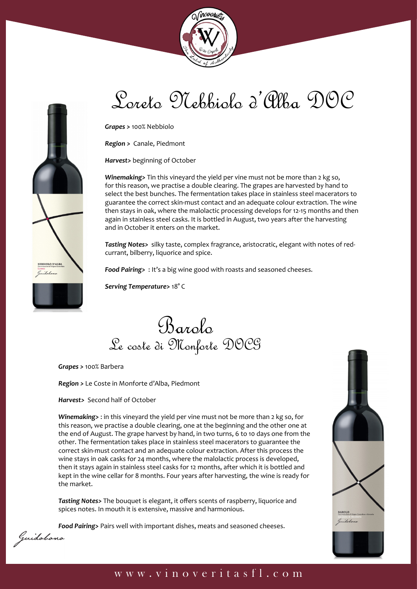



# Loreto Nebbiolo d'Alba DOC

*Grapes >* 100% Nebbiolo

*Region >* Canale, Piedmont

*Harvest>* beginning of October

*Winemaking>* Tin this vineyard the yield per vine must not be more than 2 kg so, for this reason, we practise a double clearing. The grapes are harvested by hand to select the best bunches. The fermentation takes place in stainless steel macerators to guarantee the correct skin-must contact and an adequate colour extraction. The wine then stays in oak, where the malolactic processing develops for 12-15 months and then again in stainless steel casks. It is bottled in August, two years after the harvesting and in October it enters on the market.

*Tasting Notes>* silky taste, complex fragrance, aristocratic, elegant with notes of redcurrant, bilberry, liquorice and spice.

*Food Pairing>* : It's a big wine good with roasts and seasoned cheeses.

*Serving Temperature>* 18° C

Barolo Le coste di Monforte DOCG

*Grapes >* 100% Barbera

*Region >* Le Coste in Monforte d'Alba, Piedmont

*Harvest>* Second half of October

*Winemaking>* : in this vineyard the yield per vine must not be more than 2 kg so, for this reason, we practise a double clearing, one at the beginning and the other one at the end of August. The grape harvest by hand, in two turns, 6 to 10 days one from the other. The fermentation takes place in stainless steel macerators to guarantee the correct skin-must contact and an adequate colour extraction. After this process the wine stays in oak casks for 24 months, where the malolactic process is developed, then it stays again in stainless steel casks for 12 months, after which it is bottled and kept in the wine cellar for 8 months. Four years after harvesting, the wine is ready for the market.

*Tasting Notes>* The bouquet is elegant, it offers scents of raspberry, liquorice and spices notes. In mouth it is extensive, massive and harmonious.

*Food Pairing>* Pairs well with important dishes, meats and seasoned cheeses.



#### www.vinoveritasfl.com